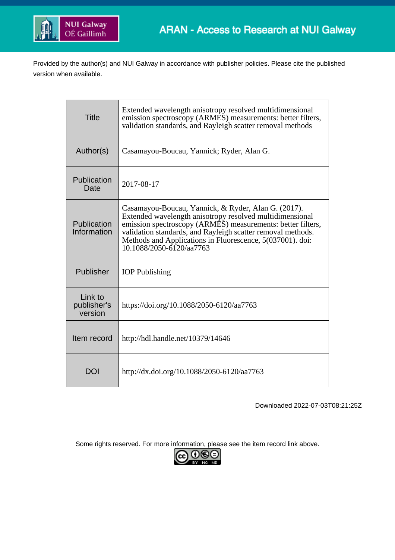

Provided by the author(s) and NUI Galway in accordance with publisher policies. Please cite the published version when available.

| <b>Title</b>                      | Extended wavelength anisotropy resolved multidimensional<br>emission spectroscopy (ARMES) measurements: better filters,<br>validation standards, and Rayleigh scatter removal methods                                                                                                                                                      |  |  |  |  |
|-----------------------------------|--------------------------------------------------------------------------------------------------------------------------------------------------------------------------------------------------------------------------------------------------------------------------------------------------------------------------------------------|--|--|--|--|
| Author(s)                         | Casamayou-Boucau, Yannick; Ryder, Alan G.                                                                                                                                                                                                                                                                                                  |  |  |  |  |
| Publication<br>Date               | 2017-08-17                                                                                                                                                                                                                                                                                                                                 |  |  |  |  |
| Publication<br>Information        | Casamayou-Boucau, Yannick, & Ryder, Alan G. (2017).<br>Extended wavelength anisotropy resolved multidimensional<br>emission spectroscopy (ARMES) measurements: better filters,<br>validation standards, and Rayleigh scatter removal methods.<br>Methods and Applications in Fluorescence, 5(037001). doi:<br>$10.1088/2050 - 6120/aa7763$ |  |  |  |  |
| Publisher                         | <b>IOP</b> Publishing                                                                                                                                                                                                                                                                                                                      |  |  |  |  |
| Link to<br>publisher's<br>version | https://doi.org/10.1088/2050-6120/aa7763                                                                                                                                                                                                                                                                                                   |  |  |  |  |
| Item record                       | http://hdl.handle.net/10379/14646                                                                                                                                                                                                                                                                                                          |  |  |  |  |
| DOI                               | http://dx.doi.org/10.1088/2050-6120/aa7763                                                                                                                                                                                                                                                                                                 |  |  |  |  |

Downloaded 2022-07-03T08:21:25Z

Some rights reserved. For more information, please see the item record link above.

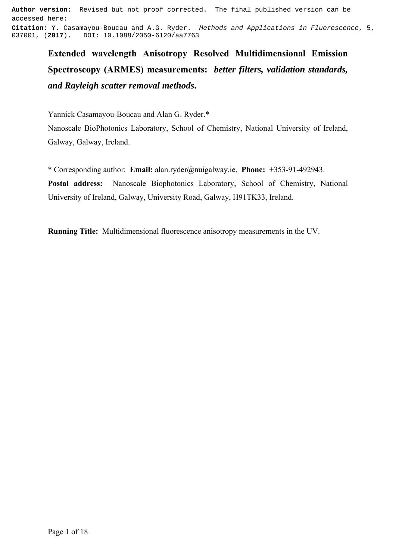**Author version:** Revised but not proof corrected. The final published version can be accessed here: **Citation:** Y. Casamayou-Boucau and A.G. Ryder. Methods and Applications in Fluorescence, 5, 037001, (**2017**). DOI: 10.1088/2050-6120/aa7763

**Extended wavelength Anisotropy Resolved Multidimensional Emission Spectroscopy (ARMES) measurements:** *better filters, validation standards, and Rayleigh scatter removal methods***.**

Yannick Casamayou-Boucau and Alan G. Ryder.\*

Nanoscale BioPhotonics Laboratory, School of Chemistry, National University of Ireland, Galway, Galway, Ireland.

\* Corresponding author: **Email:** alan.ryder@nuigalway.ie, **Phone:** +353-91-492943. **Postal address:** Nanoscale Biophotonics Laboratory, School of Chemistry, National University of Ireland, Galway, University Road, Galway, H91TK33, Ireland.

**Running Title:** Multidimensional fluorescence anisotropy measurements in the UV.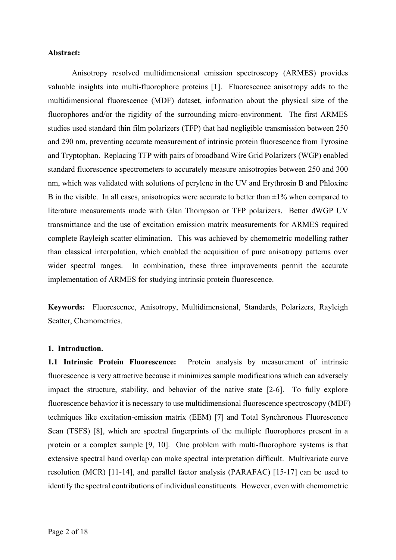## **Abstract:**

Anisotropy resolved multidimensional emission spectroscopy (ARMES) provides valuable insights into multi-fluorophore proteins [1]. Fluorescence anisotropy adds to the multidimensional fluorescence (MDF) dataset, information about the physical size of the fluorophores and/or the rigidity of the surrounding micro-environment. The first ARMES studies used standard thin film polarizers (TFP) that had negligible transmission between 250 and 290 nm, preventing accurate measurement of intrinsic protein fluorescence from Tyrosine and Tryptophan. Replacing TFP with pairs of broadband Wire Grid Polarizers (WGP) enabled standard fluorescence spectrometers to accurately measure anisotropies between 250 and 300 nm, which was validated with solutions of perylene in the UV and Erythrosin B and Phloxine B in the visible. In all cases, anisotropies were accurate to better than  $\pm 1\%$  when compared to literature measurements made with Glan Thompson or TFP polarizers. Better dWGP UV transmittance and the use of excitation emission matrix measurements for ARMES required complete Rayleigh scatter elimination. This was achieved by chemometric modelling rather than classical interpolation, which enabled the acquisition of pure anisotropy patterns over wider spectral ranges. In combination, these three improvements permit the accurate implementation of ARMES for studying intrinsic protein fluorescence.

**Keywords:** Fluorescence, Anisotropy, Multidimensional, Standards, Polarizers, Rayleigh Scatter, Chemometrics.

# **1. Introduction.**

**1.1 Intrinsic Protein Fluorescence:** Protein analysis by measurement of intrinsic fluorescence is very attractive because it minimizes sample modifications which can adversely impact the structure, stability, and behavior of the native state [2-6]. To fully explore fluorescence behavior it is necessary to use multidimensional fluorescence spectroscopy (MDF) techniques like excitation-emission matrix (EEM) [7] and Total Synchronous Fluorescence Scan (TSFS) [8], which are spectral fingerprints of the multiple fluorophores present in a protein or a complex sample [9, 10]. One problem with multi-fluorophore systems is that extensive spectral band overlap can make spectral interpretation difficult. Multivariate curve resolution (MCR) [11-14], and parallel factor analysis (PARAFAC) [15-17] can be used to identify the spectral contributions of individual constituents. However, even with chemometric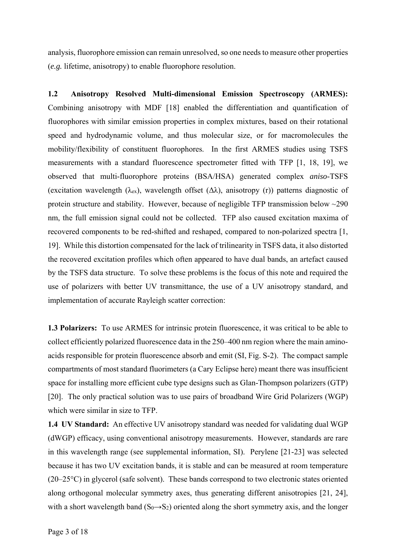analysis, fluorophore emission can remain unresolved, so one needs to measure other properties (*e.g.* lifetime, anisotropy) to enable fluorophore resolution.

**1.2 Anisotropy Resolved Multi-dimensional Emission Spectroscopy (ARMES):**  Combining anisotropy with MDF [18] enabled the differentiation and quantification of fluorophores with similar emission properties in complex mixtures, based on their rotational speed and hydrodynamic volume, and thus molecular size, or for macromolecules the mobility/flexibility of constituent fluorophores. In the first ARMES studies using TSFS measurements with a standard fluorescence spectrometer fitted with TFP [1, 18, 19], we observed that multi-fluorophore proteins (BSA/HSA) generated complex *aniso*-TSFS (excitation wavelength ( $\lambda$ <sub>ex</sub>), wavelength offset ( $\Delta\lambda$ ), anisotropy (r)) patterns diagnostic of protein structure and stability. However, because of negligible TFP transmission below ~290 nm, the full emission signal could not be collected. TFP also caused excitation maxima of recovered components to be red-shifted and reshaped, compared to non-polarized spectra [1, 19]. While this distortion compensated for the lack of trilinearity in TSFS data, it also distorted the recovered excitation profiles which often appeared to have dual bands, an artefact caused by the TSFS data structure. To solve these problems is the focus of this note and required the use of polarizers with better UV transmittance, the use of a UV anisotropy standard, and implementation of accurate Rayleigh scatter correction:

**1.3 Polarizers:** To use ARMES for intrinsic protein fluorescence, it was critical to be able to collect efficiently polarized fluorescence data in the 250–400 nm region where the main aminoacids responsible for protein fluorescence absorb and emit (SI, Fig. S-2). The compact sample compartments of most standard fluorimeters (a Cary Eclipse here) meant there was insufficient space for installing more efficient cube type designs such as Glan-Thompson polarizers (GTP) [20]. The only practical solution was to use pairs of broadband Wire Grid Polarizers (WGP) which were similar in size to TFP.

**1.4 UV Standard:** An effective UV anisotropy standard was needed for validating dual WGP (dWGP) efficacy, using conventional anisotropy measurements. However, standards are rare in this wavelength range (see supplemental information, SI). Perylene [21-23] was selected because it has two UV excitation bands, it is stable and can be measured at room temperature (20–25°C) in glycerol (safe solvent). These bands correspond to two electronic states oriented along orthogonal molecular symmetry axes, thus generating different anisotropies [21, 24], with a short wavelength band  $(S_0 \rightarrow S_2)$  oriented along the short symmetry axis, and the longer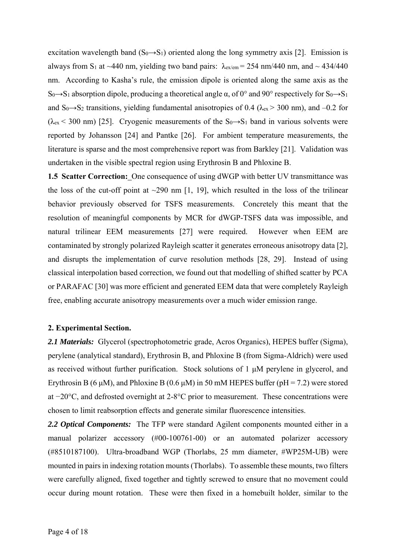excitation wavelength band  $(S_0 \rightarrow S_1)$  oriented along the long symmetry axis [2]. Emission is always from S<sub>1</sub> at ~440 nm, yielding two band pairs:  $\lambda_{ex/cm} = 254$  nm/440 nm, and ~ 434/440 nm. According to Kasha's rule, the emission dipole is oriented along the same axis as the S<sub>0</sub>→S<sub>1</sub> absorption dipole, producing a theoretical angle  $\alpha$ , of 0° and 90° respectively for S<sub>0</sub>→S<sub>1</sub> and S<sub>0</sub>→S<sub>2</sub> transitions, yielding fundamental anisotropies of 0.4 ( $\lambda_{ex}$  > 300 nm), and -0.2 for  $(\lambda_{ex}$  < 300 nm) [25]. Cryogenic measurements of the S<sub>0</sub>→S<sub>1</sub> band in various solvents were reported by Johansson [24] and Pantke [26]. For ambient temperature measurements, the literature is sparse and the most comprehensive report was from Barkley [21]. Validation was undertaken in the visible spectral region using Erythrosin B and Phloxine B.

**1.5 Scatter Correction:** One consequence of using dWGP with better UV transmittance was the loss of the cut-off point at  $\sim$ 290 nm [1, 19], which resulted in the loss of the trilinear behavior previously observed for TSFS measurements. Concretely this meant that the resolution of meaningful components by MCR for dWGP-TSFS data was impossible, and natural trilinear EEM measurements [27] were required. However when EEM are contaminated by strongly polarized Rayleigh scatter it generates erroneous anisotropy data [2], and disrupts the implementation of curve resolution methods [28, 29]. Instead of using classical interpolation based correction, we found out that modelling of shifted scatter by PCA or PARAFAC [30] was more efficient and generated EEM data that were completely Rayleigh free, enabling accurate anisotropy measurements over a much wider emission range.

# **2. Experimental Section.**

*2.1 Materials:* Glycerol (spectrophotometric grade, Acros Organics), HEPES buffer (Sigma), perylene (analytical standard), Erythrosin B, and Phloxine B (from Sigma-Aldrich) were used as received without further purification. Stock solutions of 1 μM perylene in glycerol, and Erythrosin B (6  $\mu$ M), and Phloxine B (0.6  $\mu$ M) in 50 mM HEPES buffer (pH = 7.2) were stored at −20°C, and defrosted overnight at 2-8°C prior to measurement. These concentrations were chosen to limit reabsorption effects and generate similar fluorescence intensities.

*2.2 Optical Components:* The TFP were standard Agilent components mounted either in a manual polarizer accessory (#00-100761-00) or an automated polarizer accessory (#8510187100). Ultra-broadband WGP (Thorlabs, 25 mm diameter, #WP25M-UB) were mounted in pairs in indexing rotation mounts (Thorlabs). To assemble these mounts, two filters were carefully aligned, fixed together and tightly screwed to ensure that no movement could occur during mount rotation. These were then fixed in a homebuilt holder, similar to the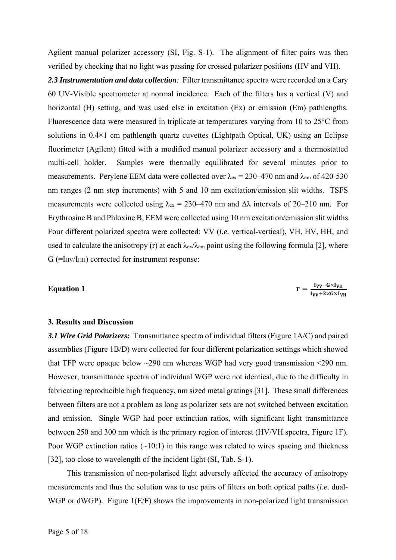Agilent manual polarizer accessory (SI, Fig. S-1). The alignment of filter pairs was then verified by checking that no light was passing for crossed polarizer positions (HV and VH).

*2.3 Instrumentation and data collection:* Filter transmittance spectra were recorded on a Cary 60 UV-Visible spectrometer at normal incidence. Each of the filters has a vertical (V) and horizontal (H) setting, and was used else in excitation (Ex) or emission (Em) pathlengths. Fluorescence data were measured in triplicate at temperatures varying from 10 to 25°C from solutions in  $0.4 \times 1$  cm pathlength quartz cuvettes (Lightpath Optical, UK) using an Eclipse fluorimeter (Agilent) fitted with a modified manual polarizer accessory and a thermostatted multi-cell holder. Samples were thermally equilibrated for several minutes prior to measurements. Perylene EEM data were collected over  $\lambda_{ex} = 230-470$  nm and  $\lambda_{em}$  of 420-530 nm ranges (2 nm step increments) with 5 and 10 nm excitation/emission slit widths. TSFS measurements were collected using  $\lambda_{\rm ex} = 230 - 470$  nm and  $\Delta\lambda$  intervals of 20–210 nm. For Erythrosine B and Phloxine B, EEM were collected using 10 nm excitation/emission slit widths. Four different polarized spectra were collected: VV (*i.e.* vertical-vertical), VH, HV, HH, and used to calculate the anisotropy (r) at each  $\lambda_{ex}/\lambda_{em}$  point using the following formula [2], where  $G$  (=I<sub>HV</sub>/I<sub>HH</sub>) corrected for instrument response:

#### **Equation 1**

$$
r = \frac{I_{VV} - G \times I_{VH}}{I_{VV} + 2 \times G \times I_{VH}}
$$

#### **3. Results and Discussion**

*3.1 Wire Grid Polarizers:* Transmittance spectra of individual filters (Figure 1A/C) and paired assemblies (Figure 1B/D) were collected for four different polarization settings which showed that TFP were opaque below ~290 nm whereas WGP had very good transmission <290 nm. However, transmittance spectra of individual WGP were not identical, due to the difficulty in fabricating reproducible high frequency, nm sized metal gratings [31]. These small differences between filters are not a problem as long as polarizer sets are not switched between excitation and emission. Single WGP had poor extinction ratios, with significant light transmittance between 250 and 300 nm which is the primary region of interest (HV/VH spectra, Figure 1F). Poor WGP extinction ratios  $(\sim 10:1)$  in this range was related to wires spacing and thickness [32], too close to wavelength of the incident light (SI, Tab. S-1).

This transmission of non-polarised light adversely affected the accuracy of anisotropy measurements and thus the solution was to use pairs of filters on both optical paths (*i.e*. dual-WGP or dWGP). Figure 1(E/F) shows the improvements in non-polarized light transmission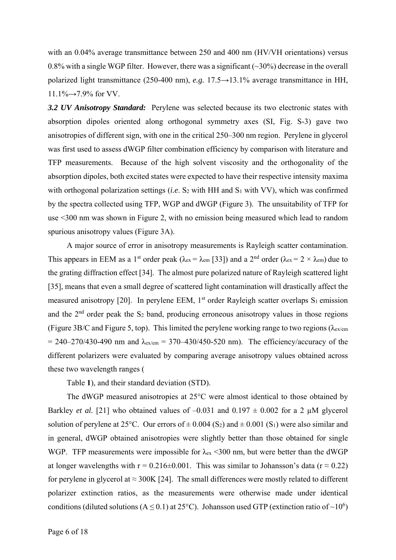with an 0.04% average transmittance between 250 and 400 nm (HV/VH orientations) versus 0.8% with a single WGP filter. However, there was a significant  $(\sim]30\%$  decrease in the overall polarized light transmittance (250-400 nm), *e.g.* 17.5→13.1% average transmittance in HH, 11.1%→7.9% for VV.

*3.2 UV Anisotropy Standard:* Perylene was selected because its two electronic states with absorption dipoles oriented along orthogonal symmetry axes (SI, Fig. S-3) gave two anisotropies of different sign, with one in the critical 250–300 nm region. Perylene in glycerol was first used to assess dWGP filter combination efficiency by comparison with literature and TFP measurements. Because of the high solvent viscosity and the orthogonality of the absorption dipoles, both excited states were expected to have their respective intensity maxima with orthogonal polarization settings (*i.e.* S<sub>2</sub> with HH and S<sub>1</sub> with VV), which was confirmed by the spectra collected using TFP, WGP and dWGP (Figure 3). The unsuitability of TFP for use <300 nm was shown in Figure 2, with no emission being measured which lead to random spurious anisotropy values (Figure 3A).

A major source of error in anisotropy measurements is Rayleigh scatter contamination. This appears in EEM as a 1<sup>st</sup> order peak ( $\lambda_{ex} = \lambda_{em}$  [33]) and a 2<sup>nd</sup> order ( $\lambda_{ex} = 2 \times \lambda_{em}$ ) due to the grating diffraction effect [34]. The almost pure polarized nature of Rayleigh scattered light [35], means that even a small degree of scattered light contamination will drastically affect the measured anisotropy [20]. In perylene EEM,  $1<sup>st</sup>$  order Rayleigh scatter overlaps  $S_1$  emission and the  $2<sup>nd</sup>$  order peak the S<sub>2</sub> band, producing erroneous anisotropy values in those regions (Figure 3B/C and Figure 5, top). This limited the perylene working range to two regions ( $\lambda_{\text{ex/cm}}$ )  $= 240-270/430-490$  nm and  $\lambda_{\text{ex/cm}} = 370-430/450-520$  nm). The efficiency/accuracy of the different polarizers were evaluated by comparing average anisotropy values obtained across these two wavelength ranges (

Table **1**), and their standard deviation (STD).

The dWGP measured anisotropies at 25°C were almost identical to those obtained by Barkley *et al.* [21] who obtained values of  $-0.031$  and  $0.197 \pm 0.002$  for a 2  $\mu$ M glycerol solution of perylene at 25°C. Our errors of  $\pm$  0.004 (S<sub>2</sub>) and  $\pm$  0.001 (S<sub>1</sub>) were also similar and in general, dWGP obtained anisotropies were slightly better than those obtained for single WGP. TFP measurements were impossible for  $\lambda_{ex}$  <300 nm, but were better than the dWGP at longer wavelengths with r = 0.216±0.001. This was similar to Johansson's data (r  $\approx$  0.22) for perylene in glycerol at  $\approx 300K$  [24]. The small differences were mostly related to different polarizer extinction ratios, as the measurements were otherwise made under identical conditions (diluted solutions ( $A \le 0.1$ ) at 25°C). Johansson used GTP (extinction ratio of ~10<sup>6</sup>)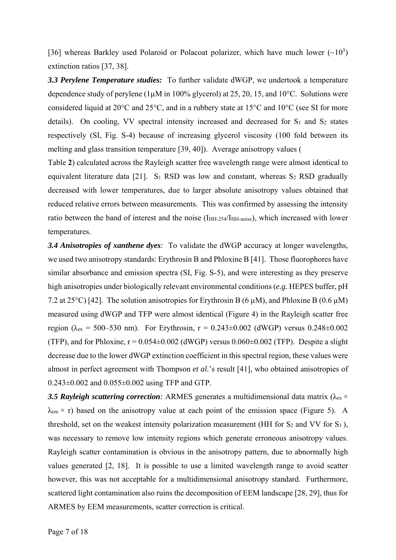[36] whereas Barkley used Polaroid or Polacoat polarizer, which have much lower  $(-10^3)$ extinction ratios [37, 38].

*3.3 Perylene Temperature studies:*To further validate dWGP, we undertook a temperature dependence study of perylene ( $1\mu$ M in 100% glycerol) at 25, 20, 15, and 10°C. Solutions were considered liquid at 20°C and 25°C, and in a rubbery state at 15°C and 10°C (see SI for more details). On cooling, VV spectral intensity increased and decreased for  $S_1$  and  $S_2$  states respectively (SI, Fig. S-4) because of increasing glycerol viscosity (100 fold between its melting and glass transition temperature [39, 40]). Average anisotropy values (

Table **2**) calculated across the Rayleigh scatter free wavelength range were almost identical to equivalent literature data [21]. S<sub>1</sub> RSD was low and constant, whereas  $S_2$  RSD gradually decreased with lower temperatures, due to larger absolute anisotropy values obtained that reduced relative errors between measurements. This was confirmed by assessing the intensity ratio between the band of interest and the noise (I<sub>HH-254</sub>/I<sub>HH-noise</sub>), which increased with lower temperatures.

*3.4 Anisotropies of xanthene dyes:* To validate the dWGP accuracy at longer wavelengths, we used two anisotropy standards: Erythrosin B and Phloxine B [41]. Those fluorophores have similar absorbance and emission spectra (SI, Fig. S-5), and were interesting as they preserve high anisotropies under biologically relevant environmental conditions (*e.g.* HEPES buffer, pH 7.2 at 25<sup>o</sup>C) [42]. The solution anisotropies for Erythrosin B (6  $\mu$ M), and Phloxine B (0.6  $\mu$ M) measured using dWGP and TFP were almost identical (Figure 4) in the Rayleigh scatter free region ( $\lambda_{ex}$  = 500–530 nm). For Erythrosin, r = 0.243±0.002 (dWGP) versus 0.248±0.002 (TFP), and for Phloxine,  $r = 0.054 \pm 0.002$  (dWGP) versus  $0.060 \pm 0.002$  (TFP). Despite a slight decrease due to the lower dWGP extinction coefficient in this spectral region, these values were almost in perfect agreement with Thompson *et al.*'s result [41], who obtained anisotropies of  $0.243\pm0.002$  and  $0.055\pm0.002$  using TFP and GTP.

**3.5 Rayleigh scattering correction**: ARMES generates a multidimensional data matrix ( $\lambda_{ex} \times$  $\lambda_{\rm em}$  × r) based on the anisotropy value at each point of the emission space (Figure 5). A threshold, set on the weakest intensity polarization measurement (HH for  $S_2$  and VV for  $S_1$ ), was necessary to remove low intensity regions which generate erroneous anisotropy values. Rayleigh scatter contamination is obvious in the anisotropy pattern, due to abnormally high values generated [2, 18]. It is possible to use a limited wavelength range to avoid scatter however, this was not acceptable for a multidimensional anisotropy standard. Furthermore, scattered light contamination also ruins the decomposition of EEM landscape [28, 29], thus for ARMES by EEM measurements, scatter correction is critical.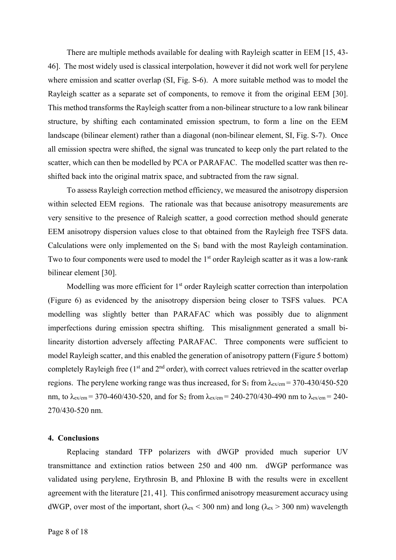There are multiple methods available for dealing with Rayleigh scatter in EEM [15, 43- 46]. The most widely used is classical interpolation, however it did not work well for perylene where emission and scatter overlap (SI, Fig. S-6). A more suitable method was to model the Rayleigh scatter as a separate set of components, to remove it from the original EEM [30]. This method transforms the Rayleigh scatter from a non-bilinear structure to a low rank bilinear structure, by shifting each contaminated emission spectrum, to form a line on the EEM landscape (bilinear element) rather than a diagonal (non-bilinear element, SI, Fig. S-7). Once all emission spectra were shifted, the signal was truncated to keep only the part related to the scatter, which can then be modelled by PCA or PARAFAC. The modelled scatter was then reshifted back into the original matrix space, and subtracted from the raw signal.

To assess Rayleigh correction method efficiency, we measured the anisotropy dispersion within selected EEM regions. The rationale was that because anisotropy measurements are very sensitive to the presence of Raleigh scatter, a good correction method should generate EEM anisotropy dispersion values close to that obtained from the Rayleigh free TSFS data. Calculations were only implemented on the S<sub>1</sub> band with the most Rayleigh contamination. Two to four components were used to model the 1<sup>st</sup> order Rayleigh scatter as it was a low-rank bilinear element [30].

Modelling was more efficient for  $1<sup>st</sup>$  order Rayleigh scatter correction than interpolation (Figure 6) as evidenced by the anisotropy dispersion being closer to TSFS values. PCA modelling was slightly better than PARAFAC which was possibly due to alignment imperfections during emission spectra shifting. This misalignment generated a small bilinearity distortion adversely affecting PARAFAC. Three components were sufficient to model Rayleigh scatter, and this enabled the generation of anisotropy pattern (Figure 5 bottom) completely Rayleigh free ( $1<sup>st</sup>$  and  $2<sup>nd</sup>$  order), with correct values retrieved in the scatter overlap regions. The perylene working range was thus increased, for  $S_1$  from  $\lambda_{\text{ex}/\text{em}} = 370\text{-}430/450\text{-}520$ nm, to  $\lambda_{ex/cm} = 370-460/430-520$ , and for S<sub>2</sub> from  $\lambda_{ex/cm} = 240-270/430-490$  nm to  $\lambda_{ex/cm} = 240-$ 270/430-520 nm.

## **4. Conclusions**

Replacing standard TFP polarizers with dWGP provided much superior UV transmittance and extinction ratios between 250 and 400 nm. dWGP performance was validated using perylene, Erythrosin B, and Phloxine B with the results were in excellent agreement with the literature [21, 41]. This confirmed anisotropy measurement accuracy using dWGP, over most of the important, short ( $\lambda_{ex}$  < 300 nm) and long ( $\lambda_{ex}$  > 300 nm) wavelength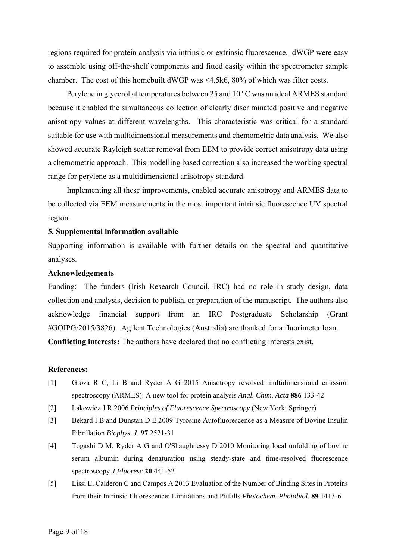regions required for protein analysis via intrinsic or extrinsic fluorescence. dWGP were easy to assemble using off-the-shelf components and fitted easily within the spectrometer sample chamber. The cost of this homebuilt dWGP was <4.5k $\epsilon$ , 80% of which was filter costs.

Perylene in glycerol at temperatures between 25 and 10 °C was an ideal ARMES standard because it enabled the simultaneous collection of clearly discriminated positive and negative anisotropy values at different wavelengths. This characteristic was critical for a standard suitable for use with multidimensional measurements and chemometric data analysis. We also showed accurate Rayleigh scatter removal from EEM to provide correct anisotropy data using a chemometric approach. This modelling based correction also increased the working spectral range for perylene as a multidimensional anisotropy standard.

Implementing all these improvements, enabled accurate anisotropy and ARMES data to be collected via EEM measurements in the most important intrinsic fluorescence UV spectral region.

## **5. Supplemental information available**

Supporting information is available with further details on the spectral and quantitative analyses.

# **Acknowledgements**

Funding: The funders (Irish Research Council, IRC) had no role in study design, data collection and analysis, decision to publish, or preparation of the manuscript. The authors also acknowledge financial support from an IRC Postgraduate Scholarship (Grant #GOIPG/2015/3826). Agilent Technologies (Australia) are thanked for a fluorimeter loan. **Conflicting interests:** The authors have declared that no conflicting interests exist.

#### **References:**

- [1] Groza R C, Li B and Ryder A G 2015 Anisotropy resolved multidimensional emission spectroscopy (ARMES): A new tool for protein analysis *Anal. Chim. Acta* **886** 133-42
- [2] Lakowicz J R 2006 *Principles of Fluorescence Spectroscopy* (New York: Springer)
- [3] Bekard I B and Dunstan D E 2009 Tyrosine Autofluorescence as a Measure of Bovine Insulin Fibrillation *Biophys. J.* **97** 2521-31
- [4] Togashi D M, Ryder A G and O'Shaughnessy D 2010 Monitoring local unfolding of bovine serum albumin during denaturation using steady-state and time-resolved fluorescence spectroscopy *J Fluoresc* **20** 441-52
- [5] Lissi E, Calderon C and Campos A 2013 Evaluation of the Number of Binding Sites in Proteins from their Intrinsic Fluorescence: Limitations and Pitfalls *Photochem. Photobiol.* **89** 1413-6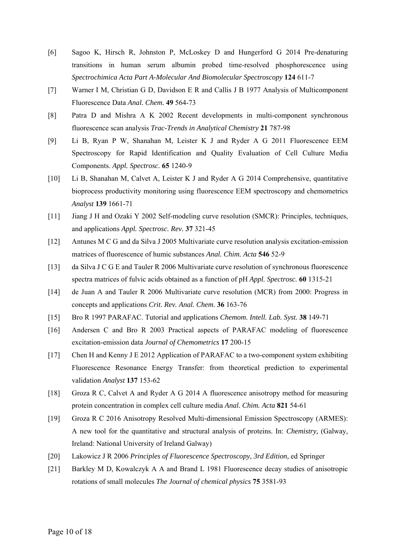- [6] Sagoo K, Hirsch R, Johnston P, McLoskey D and Hungerford G 2014 Pre-denaturing transitions in human serum albumin probed time-resolved phosphorescence using *Spectrochimica Acta Part A-Molecular And Biomolecular Spectroscopy* **124** 611-7
- [7] Warner I M, Christian G D, Davidson E R and Callis J B 1977 Analysis of Multicomponent Fluorescence Data *Anal. Chem.* **49** 564-73
- [8] Patra D and Mishra A K 2002 Recent developments in multi-component synchronous fluorescence scan analysis *Trac-Trends in Analytical Chemistry* **21** 787-98
- [9] Li B, Ryan P W, Shanahan M, Leister K J and Ryder A G 2011 Fluorescence EEM Spectroscopy for Rapid Identification and Quality Evaluation of Cell Culture Media Components. *Appl. Spectrosc.* **65** 1240-9
- [10] Li B, Shanahan M, Calvet A, Leister K J and Ryder A G 2014 Comprehensive, quantitative bioprocess productivity monitoring using fluorescence EEM spectroscopy and chemometrics *Analyst* **139** 1661-71
- [11] Jiang J H and Ozaki Y 2002 Self-modeling curve resolution (SMCR): Principles, techniques, and applications *Appl. Spectrosc. Rev.* **37** 321-45
- [12] Antunes M C G and da Silva J 2005 Multivariate curve resolution analysis excitation-emission matrices of fluorescence of humic substances *Anal. Chim. Acta* **546** 52-9
- [13] da Silva J C G E and Tauler R 2006 Multivariate curve resolution of synchronous fluorescence spectra matrices of fulvic acids obtained as a function of pH *Appl. Spectrosc.* **60** 1315-21
- [14] de Juan A and Tauler R 2006 Multivariate curve resolution (MCR) from 2000: Progress in concepts and applications *Crit. Rev. Anal. Chem.* **36** 163-76
- [15] Bro R 1997 PARAFAC. Tutorial and applications *Chemom. Intell. Lab. Syst.* **38** 149-71
- [16] Andersen C and Bro R 2003 Practical aspects of PARAFAC modeling of fluorescence excitation-emission data *Journal of Chemometrics* **17** 200-15
- [17] Chen H and Kenny J E 2012 Application of PARAFAC to a two-component system exhibiting Fluorescence Resonance Energy Transfer: from theoretical prediction to experimental validation *Analyst* **137** 153-62
- [18] Groza R C, Calvet A and Ryder A G 2014 A fluorescence anisotropy method for measuring protein concentration in complex cell culture media *Anal. Chim. Acta* **821** 54-61
- [19] Groza R C 2016 Anisotropy Resolved Multi‐dimensional Emission Spectroscopy (ARMES): A new tool for the quantitative and structural analysis of proteins. In: *Chemistry,* (Galway, Ireland: National University of Ireland Galway)
- [20] Lakowicz J R 2006 *Principles of Fluorescence Spectroscopy, 3rd Edition,* ed Springer
- [21] Barkley M D, Kowalczyk A A and Brand L 1981 Fluorescence decay studies of anisotropic rotations of small molecules *The Journal of chemical physics* **75** 3581-93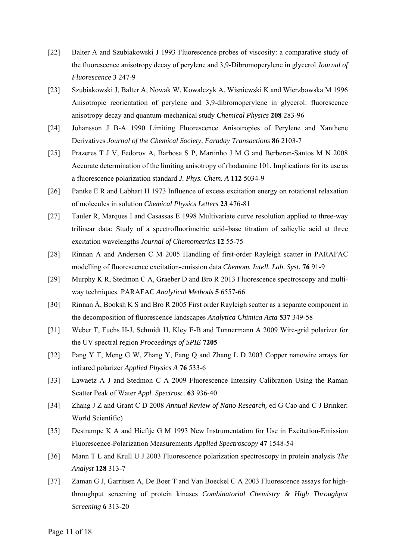- [22] Balter A and Szubiakowski J 1993 Fluorescence probes of viscosity: a comparative study of the fluorescence anisotropy decay of perylene and 3,9-Dibromoperylene in glycerol *Journal of Fluorescence* **3** 247-9
- [23] Szubiakowski J, Balter A, Nowak W, Kowalczyk A, Wisniewski K and Wierzbowska M 1996 Anisotropic reorientation of perylene and 3,9-dibromoperylene in glycerol: fluorescence anisotropy decay and quantum-mechanical study *Chemical Physics* **208** 283-96
- [24] Johansson J B-A 1990 Limiting Fluorescence Anisotropies of Perylene and Xanthene Derivatives *Journal of the Chemical Society, Faraday Transactions* **86** 2103-7
- [25] Prazeres T J V, Fedorov A, Barbosa S P, Martinho J M G and Berberan-Santos M N 2008 Accurate determination of the limiting anisotropy of rhodamine 101. Implications for its use as a fluorescence polarization standard *J. Phys. Chem. A* **112** 5034-9
- [26] Pantke E R and Labhart H 1973 Influence of excess excitation energy on rotational relaxation of molecules in solution *Chemical Physics Letters* **23** 476-81
- [27] Tauler R, Marques I and Casassas E 1998 Multivariate curve resolution applied to three-way trilinear data: Study of a spectrofluorimetric acid–base titration of salicylic acid at three excitation wavelengths *Journal of Chemometrics* **12** 55-75
- [28] Rinnan A and Andersen C M 2005 Handling of first-order Rayleigh scatter in PARAFAC modelling of fluorescence excitation-emission data *Chemom. Intell. Lab. Syst.* **76** 91-9
- [29] Murphy K R, Stedmon C A, Graeber D and Bro R 2013 Fluorescence spectroscopy and multiway techniques. PARAFAC *Analytical Methods* **5** 6557-66
- [30] Rinnan Å, Booksh K S and Bro R 2005 First order Rayleigh scatter as a separate component in the decomposition of fluorescence landscapes *Analytica Chimica Acta* **537** 349-58
- [31] Weber T, Fuchs H-J, Schmidt H, Kley E-B and Tunnermann A 2009 Wire-grid polarizer for the UV spectral region *Proceedings of SPIE* **7205**
- [32] Pang Y T, Meng G W, Zhang Y, Fang Q and Zhang L D 2003 Copper nanowire arrays for infrared polarizer *Applied Physics A* **76** 533-6
- [33] Lawaetz A J and Stedmon C A 2009 Fluorescence Intensity Calibration Using the Raman Scatter Peak of Water *Appl. Spectrosc.* **63** 936-40
- [34] Zhang J Z and Grant C D 2008 *Annual Review of Nano Research,* ed G Cao and C J Brinker: World Scientific)
- [35] Destrampe K A and Hieftje G M 1993 New Instrumentation for Use in Excitation-Emission Fluorescence-Polarization Measurements *Applied Spectroscopy* **47** 1548-54
- [36] Mann T L and Krull U J 2003 Fluorescence polarization spectroscopy in protein analysis *The Analyst* **128** 313-7
- [37] Zaman G J, Garritsen A, De Boer T and Van Boeckel C A 2003 Fluorescence assays for highthroughput screening of protein kinases *Combinatorial Chemistry & High Throughput Screening* **6** 313-20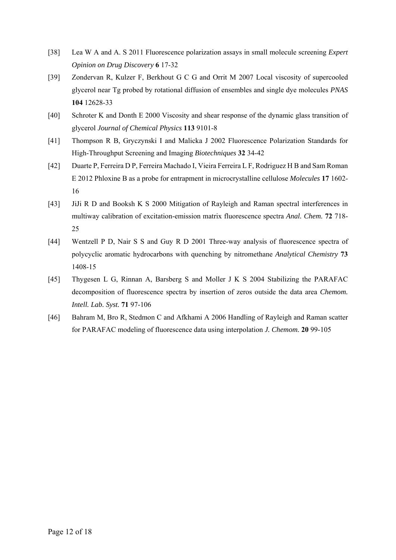- [38] Lea W A and A. S 2011 Fluorescence polarization assays in small molecule screening *Expert Opinion on Drug Discovery* **6** 17-32
- [39] Zondervan R, Kulzer F, Berkhout G C G and Orrit M 2007 Local viscosity of supercooled glycerol near Tg probed by rotational diffusion of ensembles and single dye molecules *PNAS* **104** 12628-33
- [40] Schroter K and Donth E 2000 Viscosity and shear response of the dynamic glass transition of glycerol *Journal of Chemical Physics* **113** 9101-8
- [41] Thompson R B, Gryczynski I and Malicka J 2002 Fluorescence Polarization Standards for High-Throughput Screening and Imaging *Biotechniques* **32** 34-42
- [42] Duarte P, Ferreira D P, Ferreira Machado I, Vieira Ferreira L F, Rodriguez H B and Sam Roman E 2012 Phloxine B as a probe for entrapment in microcrystalline cellulose *Molecules* **17** 1602- 16
- [43] JiJi R D and Booksh K S 2000 Mitigation of Rayleigh and Raman spectral interferences in multiway calibration of excitation-emission matrix fluorescence spectra *Anal. Chem.* **72** 718- 25
- [44] Wentzell P D, Nair S S and Guy R D 2001 Three-way analysis of fluorescence spectra of polycyclic aromatic hydrocarbons with quenching by nitromethane *Analytical Chemistry* **73** 1408-15
- [45] Thygesen L G, Rinnan A, Barsberg S and Moller J K S 2004 Stabilizing the PARAFAC decomposition of fluorescence spectra by insertion of zeros outside the data area *Chemom. Intell. Lab. Syst.* **71** 97-106
- [46] Bahram M, Bro R, Stedmon C and Afkhami A 2006 Handling of Rayleigh and Raman scatter for PARAFAC modeling of fluorescence data using interpolation *J. Chemom.* **20** 99-105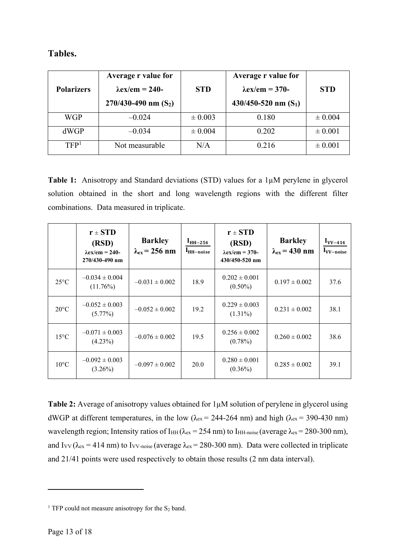| Tables. |
|---------|
|---------|

| <b>Polarizers</b> | Average r value for<br>$\lambda$ ex/em = 240-<br>$270/430-490$ nm $(S_2)$ | <b>STD</b>  | Average r value for<br>$\lambda$ ex/em = 370-<br>$430/450 - 520$ nm $(S_1)$ | <b>STD</b>  |
|-------------------|---------------------------------------------------------------------------|-------------|-----------------------------------------------------------------------------|-------------|
| <b>WGP</b>        | $-0.024$                                                                  | $\pm 0.003$ | 0.180                                                                       | $\pm 0.004$ |
| dWGP              | $-0.034$                                                                  | $\pm 0.004$ | 0.202                                                                       | $\pm 0.001$ |
| TFP <sup>1</sup>  | Not measurable                                                            | N/A         | 0.216                                                                       | $\pm 0.001$ |

**Table 1:** Anisotropy and Standard deviations (STD) values for a 1µM perylene in glycerol solution obtained in the short and long wavelength regions with the different filter combinations. Data measured in triplicate.

|                | $r \pm STD$<br>(RSD)<br>$\lambda$ ex/em = 240-<br>270/430-490 nm | <b>Barkley</b><br>$\lambda_{ex}$ = 256 nm | $IHH-254$<br>$IHH-noise$ | $r \pm STD$<br>(RSD)<br>$\lambda$ ex/em = 370-<br>430/450-520 nm | <b>Barkley</b><br>$\lambda_{\rm ex}$ = 430 nm | $I_{VV-414}$<br>$I_{VV-noise}$ |
|----------------|------------------------------------------------------------------|-------------------------------------------|--------------------------|------------------------------------------------------------------|-----------------------------------------------|--------------------------------|
| $25^{\circ}$ C | $-0.034 \pm 0.004$<br>$(11.76\%)$                                | $-0.031 \pm 0.002$                        | 18.9                     | $0.202 \pm 0.001$<br>$(0.50\%)$                                  | $0.197 \pm 0.002$                             | 37.6                           |
| $20^{\circ}$ C | $-0.052 \pm 0.003$<br>$(5.77\%)$                                 | $-0.052 \pm 0.002$                        | 19.2                     | $0.229 \pm 0.003$<br>$(1.31\%)$                                  | $0.231 \pm 0.002$                             | 38.1                           |
| $15^{\circ}$ C | $-0.071 \pm 0.003$<br>$(4.23\%)$                                 | $-0.076 \pm 0.002$                        | 19.5                     | $0.256 \pm 0.002$<br>$(0.78\%)$                                  | $0.260 \pm 0.002$                             | 38.6                           |
| $10^{\circ}$ C | $-0.092 \pm 0.003$<br>$(3.26\%)$                                 | $-0.097 \pm 0.002$                        | 20.0                     | $0.280 \pm 0.001$<br>$(0.36\%)$                                  | $0.285 \pm 0.002$                             | 39.1                           |

**Table 2:** Average of anisotropy values obtained for  $1\mu$ M solution of perylene in glycerol using dWGP at different temperatures, in the low ( $\lambda_{ex}$  = 244-264 nm) and high ( $\lambda_{ex}$  = 390-430 nm) wavelength region; Intensity ratios of I<sub>HH</sub> ( $\lambda_{ex}$  = 254 nm) to I<sub>HH-noise</sub> (average  $\lambda_{ex}$  = 280-300 nm), and Ivv ( $\lambda_{ex}$  = 414 nm) to Ivv-noise (average  $\lambda_{ex}$  = 280-300 nm). Data were collected in triplicate and 21/41 points were used respectively to obtain those results (2 nm data interval).

1

<sup>&</sup>lt;sup>1</sup> TFP could not measure anisotropy for the  $S_2$  band.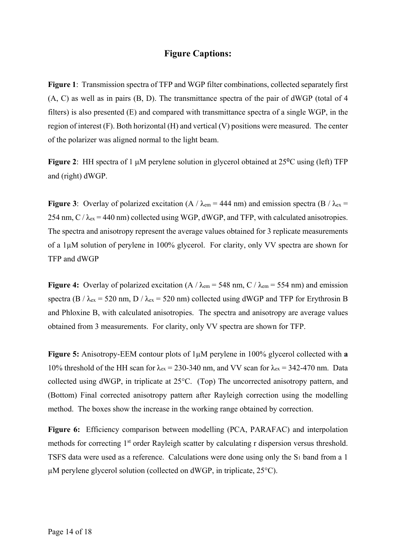# **Figure Captions:**

**Figure 1**: Transmission spectra of TFP and WGP filter combinations, collected separately first (A, C) as well as in pairs (B, D). The transmittance spectra of the pair of dWGP (total of 4 filters) is also presented (E) and compared with transmittance spectra of a single WGP, in the region of interest (F). Both horizontal (H) and vertical (V) positions were measured. The center of the polarizer was aligned normal to the light beam.

**Figure 2**: HH spectra of 1 μM perylene solution in glycerol obtained at 25⁰C using (left) TFP and (right) dWGP.

**Figure 3**: Overlay of polarized excitation (A /  $\lambda_{\text{em}}$  = 444 nm) and emission spectra (B /  $\lambda_{\text{ex}}$  = 254 nm,  $C / \lambda_{ex} = 440$  nm) collected using WGP, dWGP, and TFP, with calculated anisotropies. The spectra and anisotropy represent the average values obtained for 3 replicate measurements of a 1µM solution of perylene in 100% glycerol. For clarity, only VV spectra are shown for TFP and dWGP

**Figure 4:** Overlay of polarized excitation (A /  $\lambda_{\text{em}}$  = 548 nm, C /  $\lambda_{\text{em}}$  = 554 nm) and emission spectra (B /  $\lambda_{ex}$  = 520 nm, D /  $\lambda_{ex}$  = 520 nm) collected using dWGP and TFP for Erythrosin B and Phloxine B, with calculated anisotropies. The spectra and anisotropy are average values obtained from 3 measurements. For clarity, only VV spectra are shown for TFP.

**Figure 5:** Anisotropy-EEM contour plots of 1µM perylene in 100% glycerol collected with **a** 10% threshold of the HH scan for  $\lambda_{ex} = 230-340$  nm, and VV scan for  $\lambda_{ex} = 342-470$  nm. Data collected using dWGP, in triplicate at 25°C. (Top) The uncorrected anisotropy pattern, and (Bottom) Final corrected anisotropy pattern after Rayleigh correction using the modelling method. The boxes show the increase in the working range obtained by correction.

Figure 6: Efficiency comparison between modelling (PCA, PARAFAC) and interpolation methods for correcting 1<sup>st</sup> order Rayleigh scatter by calculating r dispersion versus threshold. TSFS data were used as a reference. Calculations were done using only the  $S_1$  band from a 1 µM perylene glycerol solution (collected on dWGP, in triplicate, 25°C).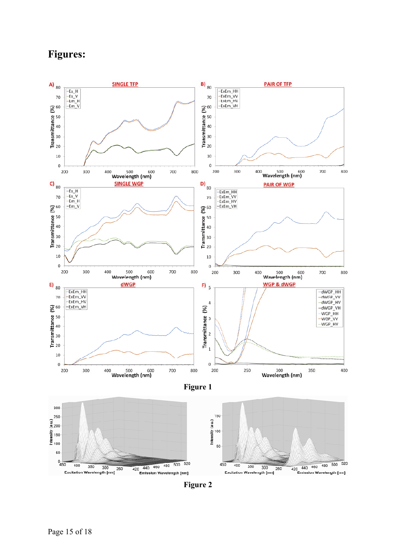# **Figures:**



**Figure 2**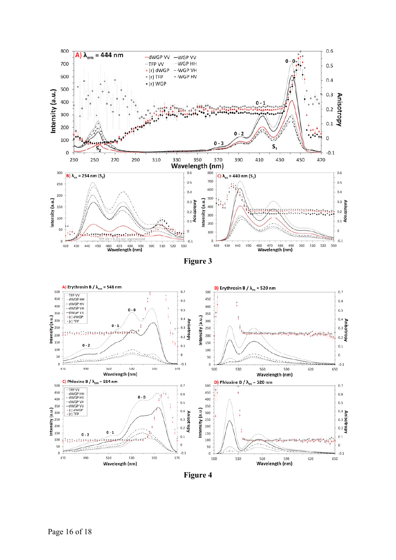



**Figure 4**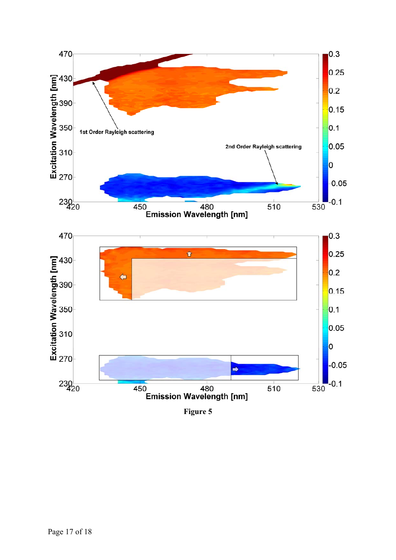

**Figure 5**